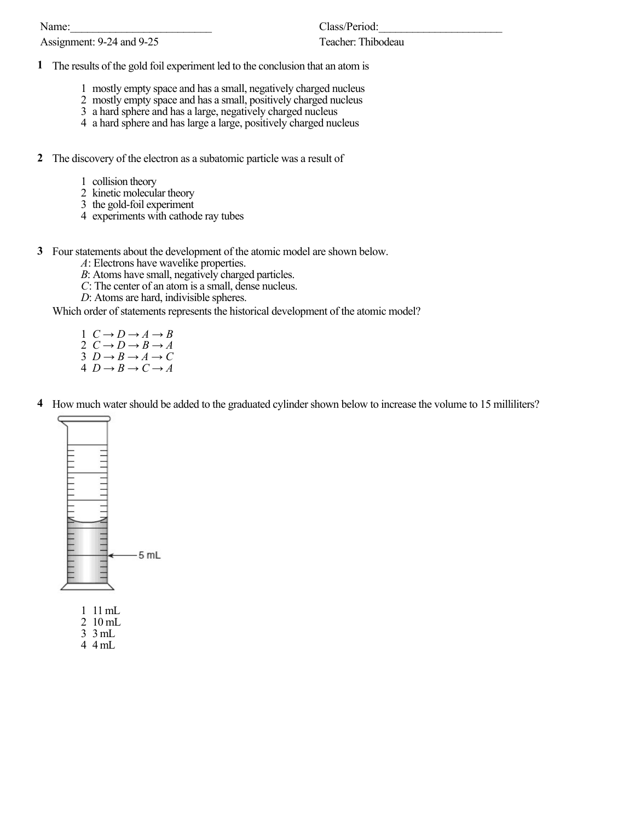Name:

Assignment: 9-24 and 9-25

Class/Period:

## Teacher: Thibodeau

- **1** The results of the gold foil experiment led to the conclusion that an atom is
	- 1 mostly empty space and has a small, negatively charged nucleus
	- 2 mostly empty space and has a small, positively charged nucleus
	- 3 a hard sphere and has a large, negatively charged nucleus
	- 4 a hard sphere and has large a large, positively charged nucleus
- **2** The discovery of the electron as a subatomic particle was a result of
	- 1 collision theory
	- 2 kinetic molecular theory
	- 3 the gold-foil experiment
	- 4 experiments with cathode ray tubes
- **3** Four statements about the development of the atomic model are shown below.
	- *A*: Electrons have wavelike properties.
	- *B*: Atoms have small, negatively charged particles.
	- *C*: The center of an atom is a small, dense nucleus.
	- *D*: Atoms are hard, indivisible spheres.

Which order of statements represents the historical development of the atomic model?

- 1  $C \rightarrow D \rightarrow A \rightarrow B$
- 2 *C → D → B → A*
- 3  $D \rightarrow B \rightarrow A \rightarrow C$
- $4\ D \rightarrow B \rightarrow C \rightarrow A$
- **4** How much water should be added to the graduated cylinder shown below to increase the volume to 15 milliliters?



- 1 11 mL
- 2 10 mL
- 3 3 mL
- 4 4 mL